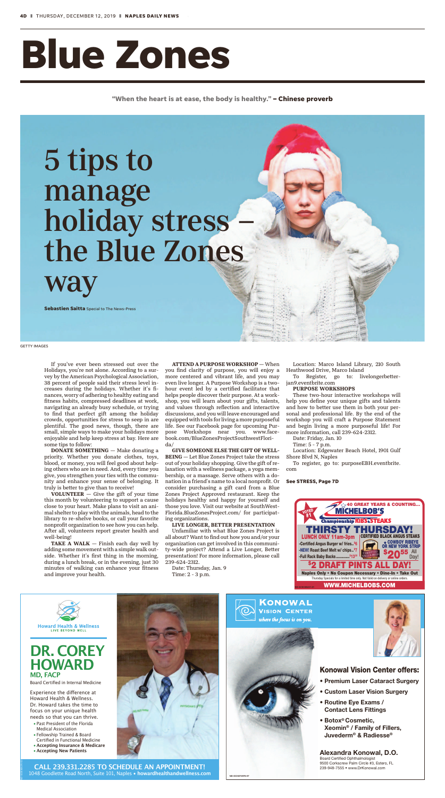Alexandra Konowal, D.O. Board Certified Ophthalmologist 9500 Corkscrew Palm Circle #3, Estero, FL 239-948-7555 • www.DrKonowal.com

### **Konowal Vision Center offers:**

- Premium Laser Cataract Surgery
- Custom Laser Vision Surgery
- Routine Eye Exams / Contact Lens Fittings
- Botox® Cosmetic, Xeomin® / Family of Fillers, Juvederm® & Radiesse®

Experience the difference at Howard Health & Wellness. Dr. Howard takes the time to focus on your unique health needs so that you can thrive.

**ND-GCI0274976-07**



**CALL 239.331.2285 TO SCHEDULE AN APPOINTMENT!** 1048 Goodlette Road North, Suite 101, Naples • **howardhealthandwellness.com**



- Past President of the Florida Medical Association
- Fellowship Trained & Board Certified in Functional Medicine
- **Accepting Insurance & Medicare**
- **Accepting New Patients**

## **DR. COREY HOWARD MD, FACP**

**Board Certified in Internal Medicine** 

ND-GCI0303275-02



# **Blue Zones**

**"When the heart is at ease, the body is healthy." – Chinese proverb**

**VOLUNTEER**  $-$  Give the gift of your time this month by volunteering to support a cause close to your heart. Make plans to visit an animal shelter to play with the animals, head to the library to re-shelve books, or call your favorite nonprofit organization to see how you can help. After all, volunteers report greater health and well-being! TAKE A WALK  $-$  Finish each day well by adding some movement with a simple walk outside. Whether it's first thing in the morning, during a lunch break, or in the evening, just 30 minutes of walking can enhance your fitness and improve your health.

If you've ever been stressed out over the Holidays, you're not alone. According to a survey by the American Psychological Association, 38 percent of people said their stress level increases during the holidays. Whether it's finances, worry of adhering to healthy eating and fitness habits, compressed deadlines at work, navigating an already busy schedule, or trying to find that perfect gift among the holiday crowds, opportunities for stress to seep in are plentiful. The good news, though, there are small, simple ways to make your holidays more enjoyable and help keep stress at bay. Here are some tips to follow:

DONATE SOMETHING — Make donating a priority. Whether you donate clothes, toys, blood, or money, you will feel good about helping others who are in need. And, every time you give, you strengthen your ties with the community and enhance your sense of belonging. It truly is better to give than to receive!

ATTEND A PURPOSE WORKSHOP — When you find clarity of purpose, you will enjoy a more centered and vibrant life, and you may even live longer. A Purpose Workshop is a twohour event led by a certified facilitator that helps people discover their purpose. At a workshop, you will learn about your gifts, talents, and values through reflection and interactive discussions, and you will leave encouraged and equipped with tools for living a more purposeful life. See our Facebook page for upcoming Purpose Workshops near you. www.facebook.com/BlueZonesProjectSouthwestFlorida/

GIVE SOMEONE ELSE THE GIFT OF WELL-BEING — Let Blue Zones Project take the stress out of your holiday shopping. Give the gift of relaxation with a wellness package, a yoga membership, or a massage. Serve others with a donation in a friend's name to a local nonprofit. Or consider purchasing a gift card from a Blue Zones Project Approved restaurant. Keep the holidays healthy and happy for yourself and those you love. Visit our website at SouthWest-Florida.BlueZonesProject.com/ for participating organizations.

#### LIVE LONGER, BETTER PRESENTATION

Unfamiliar with what Blue Zones Project is all about? Want to find out how you and/or your organization can get involved in this community-wide project? Attend a Live Longer, Better presentation! For more information, please call 239-624-2312.

Date: Thursday, Jan. 9 Time: 2 - 3 p.m.

**Howard Health & Wellness** 

Location: Marco Island Library, 210 South Heathwood Drive, Marco Island

To Register, go to: livelongerbetterjan9.eventbrite.com

#### PURPOSE WORKSHOPS

These two-hour interactive workshops will help you define your unique gifts and talents and how to better use them in both your personal and professional life. By the end of the workshop you will craft a Purpose Statement and begin living a more purposeful life! For more information, call 239-624-2312.

Date: Friday, Jan. 10

Time: 5 - 7 p.m.

Location: Edgewater Beach Hotel, 1901 Gulf Shore Blvd N, Naples

To register, go to: purposeEBH.eventbrite. com

GETTY IMAGES

## 5 tips to manage holiday stress the Blue Zones way

#### **See STRESS, Page 7D**

**Sebastien Saitta** Special to The News-Press